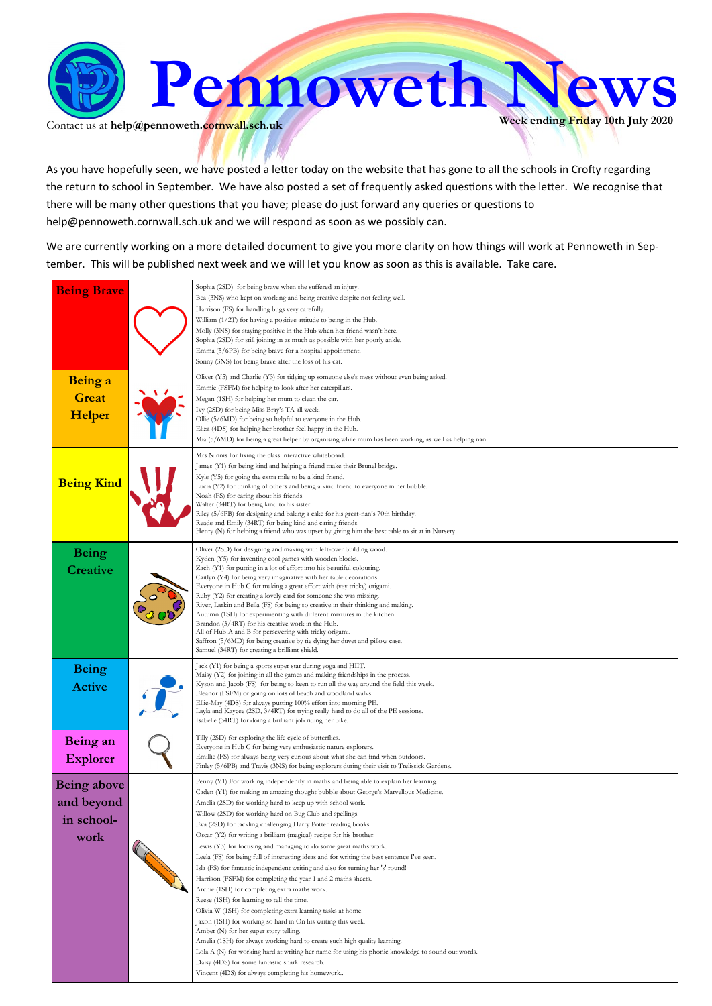

Contact us at  $\text{help@pennoweth.cornwall.sch.uk}$ 

As you have hopefully seen, we have posted a letter today on the website that has gone to all the schools in Crofty regarding the return to school in September. We have also posted a set of frequently asked questions with the letter. We recognise that there will be many other questions that you have; please do just forward any queries or questions to help@pennoweth.cornwall.sch.uk and we will respond as soon as we possibly can.

We are currently working on a more detailed document to give you more clarity on how things will work at Pennoweth in September. This will be published next week and we will let you know as soon as this is available. Take care.

| Sophia (2SD) for being brave when she suffered an injury.<br>Bea (3NS) who kept on working and being creative despite not feeling well.<br>Harrison (FS) for handling bugs very carefully.<br>William (1/2T) for having a positive attitude to being in the Hub.<br>Molly (3NS) for staying positive in the Hub when her friend wasn't here.<br>Sophia (2SD) for still joining in as much as possible with her poorly ankle.<br>Emma (5/6PB) for being brave for a hospital appointment.<br>Sonny (3NS) for being brave after the loss of his cat.                                                                                                                                                                                                                                                                                                                                                                                                                                                                                                                                                                                                                                                                                                                                                                                         |
|--------------------------------------------------------------------------------------------------------------------------------------------------------------------------------------------------------------------------------------------------------------------------------------------------------------------------------------------------------------------------------------------------------------------------------------------------------------------------------------------------------------------------------------------------------------------------------------------------------------------------------------------------------------------------------------------------------------------------------------------------------------------------------------------------------------------------------------------------------------------------------------------------------------------------------------------------------------------------------------------------------------------------------------------------------------------------------------------------------------------------------------------------------------------------------------------------------------------------------------------------------------------------------------------------------------------------------------------|
| Oliver (Y5) and Charlie (Y3) for tidying up someone else's mess without even being asked.<br>Emmie (FSFM) for helping to look after her caterpillars.<br>Megan (1SH) for helping her mum to clean the car.<br>Ivy (2SD) for being Miss Bray's TA all week.<br>Ollie (5/6MD) for being so helpful to everyone in the Hub.<br>Eliza (4DS) for helping her brother feel happy in the Hub.<br>Mia (5/6MD) for being a great helper by organising while mum has been working, as well as helping nan.                                                                                                                                                                                                                                                                                                                                                                                                                                                                                                                                                                                                                                                                                                                                                                                                                                           |
| Mrs Ninnis for fixing the class interactive whiteboard.<br>James (Y1) for being kind and helping a friend make their Brunel bridge.<br>Kyle (Y5) for going the extra mile to be a kind friend.<br>Lucia (Y2) for thinking of others and being a kind friend to everyone in her bubble.<br>Noah (FS) for caring about his friends.<br>Walter (34RT) for being kind to his sister.<br>Riley (5/6PB) for designing and baking a cake for his great-nan's 70th birthday.<br>Reade and Emily (34RT) for being kind and caring friends.<br>Henry (N) for helping a friend who was upset by giving him the best table to sit at in Nursery.                                                                                                                                                                                                                                                                                                                                                                                                                                                                                                                                                                                                                                                                                                       |
| Oliver (2SD) for designing and making with left-over building wood.<br>Kyden (Y5) for inventing cool games with wooden blocks.<br>Zach (Y1) for putting in a lot of effort into his beautiful colouring.<br>Caitlyn (Y4) for being very imaginative with her table decorations.<br>Everyone in Hub C for making a great effort with (vey tricky) origami.<br>Ruby (Y2) for creating a lovely card for someone she was missing.<br>River, Larkin and Bella (FS) for being so creative in their thinking and making.<br>Autumn (1SH) for experimenting with different mixtures in the kitchen.<br>Brandon (3/4RT) for his creative work in the Hub.<br>All of Hub A and B for persevering with tricky origami.<br>Saffron (5/6MD) for being creative by tie dying her duvet and pillow case.<br>Samuel (34RT) for creating a brilliant shield.                                                                                                                                                                                                                                                                                                                                                                                                                                                                                               |
| Jack (Y1) for being a sports super star during yoga and HIIT.<br>Maisy (Y2) for joining in all the games and making friendships in the process.<br>Kyson and Jacob (FS) for being so keen to run all the way around the field this week.<br>Eleanor (FSFM) or going on lots of beach and woodland walks.<br>Ellie-May (4DS) for always putting 100% effort into morning PE.<br>Layla and Kaycee (2SD, 3/4RT) for trying really hard to do all of the PE sessions.<br>Isabelle (34RT) for doing a brilliant job riding her bike.                                                                                                                                                                                                                                                                                                                                                                                                                                                                                                                                                                                                                                                                                                                                                                                                            |
| Tilly (2SD) for exploring the life cycle of butterflies.<br>Everyone in Hub C for being very enthusiastic nature explorers.<br>Emillie (FS) for always being very curious about what she can find when outdoors.<br>Finley (5/6PB) and Travis (3NS) for being explorers during their visit to Trelissick Gardens.                                                                                                                                                                                                                                                                                                                                                                                                                                                                                                                                                                                                                                                                                                                                                                                                                                                                                                                                                                                                                          |
| Penny (Y1) For working independently in maths and being able to explain her learning.<br>Caden (Y1) for making an amazing thought bubble about George's Marvellous Medicine.<br>Amelia (2SD) for working hard to keep up with school work.<br>Willow (2SD) for working hard on Bug Club and spellings.<br>Eva (2SD) for tackling challenging Harry Potter reading books.<br>Oscar (Y2) for writing a brilliant (magical) recipe for his brother.<br>Lewis (Y3) for focusing and managing to do some great maths work.<br>Leela (FS) for being full of interesting ideas and for writing the best sentence I've seen.<br>Isla (FS) for fantastic independent writing and also for turning her 's' round!<br>Harrison (FSFM) for completing the year 1 and 2 maths sheets.<br>Archie (1SH) for completing extra maths work.<br>Reese (1SH) for learning to tell the time.<br>Olivia W (1SH) for completing extra learning tasks at home.<br>Jaxon (1SH) for working so hard in On his writing this week.<br>Amber (N) for her super story telling.<br>Amelia (1SH) for always working hard to create such high quality learning.<br>Lola A (N) for working hard at writing her name for using his phonic knowledge to sound out words.<br>Daisy (4DS) for some fantastic shark research.<br>Vincent (4DS) for always completing his homework |
|                                                                                                                                                                                                                                                                                                                                                                                                                                                                                                                                                                                                                                                                                                                                                                                                                                                                                                                                                                                                                                                                                                                                                                                                                                                                                                                                            |